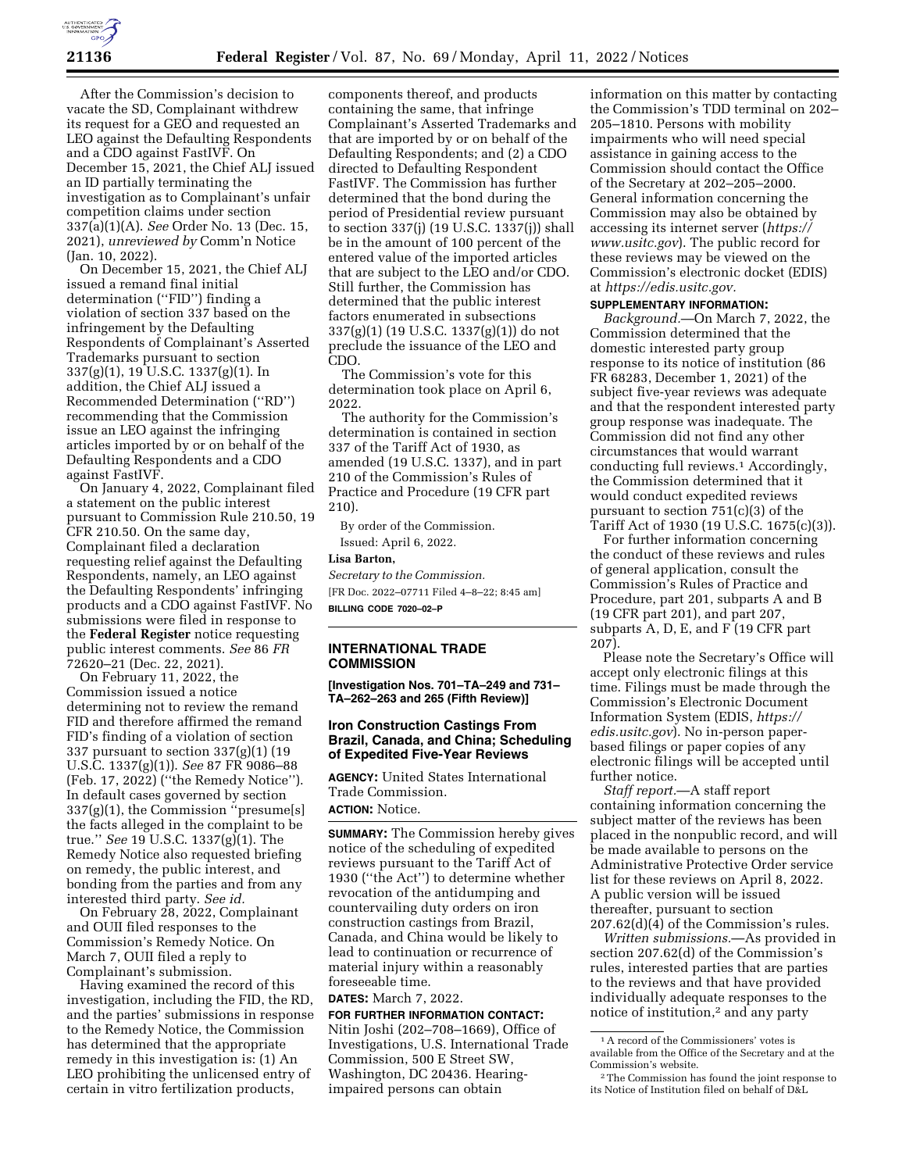

After the Commission's decision to vacate the SD, Complainant withdrew its request for a GEO and requested an LEO against the Defaulting Respondents and a CDO against FastIVF. On December 15, 2021, the Chief ALJ issued an ID partially terminating the investigation as to Complainant's unfair competition claims under section 337(a)(1)(A). *See* Order No. 13 (Dec. 15, 2021), *unreviewed by* Comm'n Notice (Jan. 10, 2022).

On December 15, 2021, the Chief ALJ issued a remand final initial determination (''FID'') finding a violation of section 337 based on the infringement by the Defaulting Respondents of Complainant's Asserted Trademarks pursuant to section 337(g)(1), 19 U.S.C. 1337(g)(1). In addition, the Chief ALJ issued a Recommended Determination (''RD'') recommending that the Commission issue an LEO against the infringing articles imported by or on behalf of the Defaulting Respondents and a CDO against FastIVF.

On January 4, 2022, Complainant filed a statement on the public interest pursuant to Commission Rule 210.50, 19 CFR 210.50. On the same day, Complainant filed a declaration requesting relief against the Defaulting Respondents, namely, an LEO against the Defaulting Respondents' infringing products and a CDO against FastIVF. No submissions were filed in response to the **Federal Register** notice requesting public interest comments. *See* 86 *FR*  72620–21 (Dec. 22, 2021).

On February 11, 2022, the Commission issued a notice determining not to review the remand FID and therefore affirmed the remand FID's finding of a violation of section 337 pursuant to section  $337(g)(1)(19)$ U.S.C. 1337(g)(1)). *See* 87 FR 9086–88 (Feb. 17, 2022) (''the Remedy Notice''). In default cases governed by section 337(g)(1), the Commission ''presume[s] the facts alleged in the complaint to be true.'' *See* 19 U.S.C. 1337(g)(1). The Remedy Notice also requested briefing on remedy, the public interest, and bonding from the parties and from any interested third party. *See id.* 

On February 28, 2022, Complainant and OUII filed responses to the Commission's Remedy Notice. On March 7, OUII filed a reply to Complainant's submission.

Having examined the record of this investigation, including the FID, the RD, and the parties' submissions in response to the Remedy Notice, the Commission has determined that the appropriate remedy in this investigation is: (1) An LEO prohibiting the unlicensed entry of certain in vitro fertilization products,

components thereof, and products containing the same, that infringe Complainant's Asserted Trademarks and that are imported by or on behalf of the Defaulting Respondents; and (2) a CDO directed to Defaulting Respondent FastIVF. The Commission has further determined that the bond during the period of Presidential review pursuant to section 337(j) (19 U.S.C. 1337(j)) shall be in the amount of 100 percent of the entered value of the imported articles that are subject to the LEO and/or CDO. Still further, the Commission has determined that the public interest factors enumerated in subsections 337(g)(1) (19 U.S.C. 1337(g)(1)) do not preclude the issuance of the LEO and CDO.

The Commission's vote for this determination took place on April 6, 2022.

The authority for the Commission's determination is contained in section 337 of the Tariff Act of 1930, as amended (19 U.S.C. 1337), and in part 210 of the Commission's Rules of Practice and Procedure (19 CFR part 210).

By order of the Commission. Issued: April 6, 2022.

**Lisa Barton,** 

*Secretary to the Commission.*  [FR Doc. 2022–07711 Filed 4–8–22; 8:45 am] **BILLING CODE 7020–02–P** 

## **INTERNATIONAL TRADE COMMISSION**

**[Investigation Nos. 701–TA–249 and 731– TA–262–263 and 265 (Fifth Review)]** 

### **Iron Construction Castings From Brazil, Canada, and China; Scheduling of Expedited Five-Year Reviews**

**AGENCY:** United States International Trade Commission. **ACTION:** Notice.

**SUMMARY:** The Commission hereby gives notice of the scheduling of expedited reviews pursuant to the Tariff Act of 1930 (''the Act'') to determine whether revocation of the antidumping and countervailing duty orders on iron construction castings from Brazil, Canada, and China would be likely to lead to continuation or recurrence of material injury within a reasonably foreseeable time.

**DATES:** March 7, 2022.

**FOR FURTHER INFORMATION CONTACT:**  Nitin Joshi (202–708–1669), Office of Investigations, U.S. International Trade Commission, 500 E Street SW, Washington, DC 20436. Hearingimpaired persons can obtain

information on this matter by contacting the Commission's TDD terminal on 202– 205–1810. Persons with mobility impairments who will need special assistance in gaining access to the Commission should contact the Office of the Secretary at 202–205–2000. General information concerning the Commission may also be obtained by accessing its internet server (*https:// www.usitc.gov*). The public record for these reviews may be viewed on the Commission's electronic docket (EDIS) at *https://edis.usitc.gov.* 

#### **SUPPLEMENTARY INFORMATION:**

*Background.*—On March 7, 2022, the Commission determined that the domestic interested party group response to its notice of institution (86 FR 68283, December 1, 2021) of the subject five-year reviews was adequate and that the respondent interested party group response was inadequate. The Commission did not find any other circumstances that would warrant conducting full reviews.1 Accordingly, the Commission determined that it would conduct expedited reviews pursuant to section 751(c)(3) of the Tariff Act of 1930 (19 U.S.C. 1675(c)(3)).

For further information concerning the conduct of these reviews and rules of general application, consult the Commission's Rules of Practice and Procedure, part 201, subparts A and B (19 CFR part 201), and part 207, subparts A, D, E, and F (19 CFR part 207).

Please note the Secretary's Office will accept only electronic filings at this time. Filings must be made through the Commission's Electronic Document Information System (EDIS, *https:// edis.usitc.gov*). No in-person paperbased filings or paper copies of any electronic filings will be accepted until further notice.

*Staff report.*—A staff report containing information concerning the subject matter of the reviews has been placed in the nonpublic record, and will be made available to persons on the Administrative Protective Order service list for these reviews on April 8, 2022. A public version will be issued thereafter, pursuant to section 207.62(d)(4) of the Commission's rules.

*Written submissions.*—As provided in section 207.62(d) of the Commission's rules, interested parties that are parties to the reviews and that have provided individually adequate responses to the notice of institution,2 and any party

<sup>1</sup>A record of the Commissioners' votes is available from the Office of the Secretary and at the Commission's website.

<sup>2</sup>The Commission has found the joint response to its Notice of Institution filed on behalf of D&L